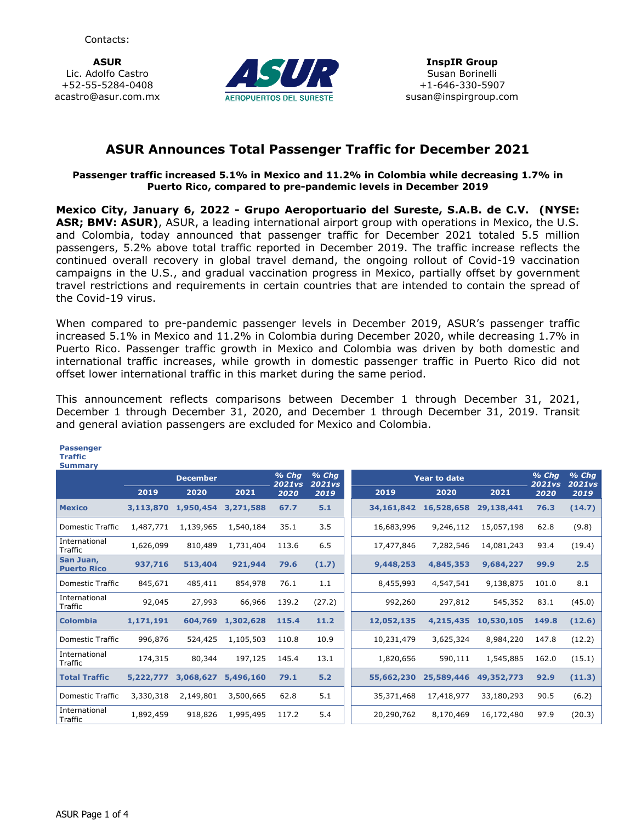**ASUR** Lic. Adolfo Castro +52-55-5284-0408 acastro@asur.com.mx



## **ASUR Announces Total Passenger Traffic for December 2021**

### **Passenger traffic increased 5.1% in Mexico and 11.2% in Colombia while decreasing 1.7% in Puerto Rico, compared to pre-pandemic levels in December 2019**

**Mexico City, January 6, 2022 - Grupo Aeroportuario del Sureste, S.A.B. de C.V. (NYSE: ASR; BMV: ASUR)**, ASUR, a leading international airport group with operations in Mexico, the U.S. and Colombia, today announced that passenger traffic for December 2021 totaled 5.5 million passengers, 5.2% above total traffic reported in December 2019. The traffic increase reflects the continued overall recovery in global travel demand, the ongoing rollout of Covid-19 vaccination campaigns in the U.S., and gradual vaccination progress in Mexico, partially offset by government travel restrictions and requirements in certain countries that are intended to contain the spread of the Covid-19 virus.

When compared to pre-pandemic passenger levels in December 2019, ASUR's passenger traffic increased 5.1% in Mexico and 11.2% in Colombia during December 2020, while decreasing 1.7% in Puerto Rico. Passenger traffic growth in Mexico and Colombia was driven by both domestic and international traffic increases, while growth in domestic passenger traffic in Puerto Rico did not offset lower international traffic in this market during the same period.

This announcement reflects comparisons between December 1 through December 31, 2021, December 1 through December 31, 2020, and December 1 through December 31, 2019. Transit and general aviation passengers are excluded for Mexico and Colombia.

| <b>Summary</b>                  |                 |           |           |                       |                          |                     |                          |                          |       |        |
|---------------------------------|-----------------|-----------|-----------|-----------------------|--------------------------|---------------------|--------------------------|--------------------------|-------|--------|
|                                 | <b>December</b> |           |           |                       | $%$ Chq<br><b>2021vs</b> | <b>Year to date</b> | $%$ Chg<br><b>2021vs</b> | $%$ Chg<br><b>2021vs</b> |       |        |
|                                 | 2019            | 2020      | 2021      | <b>2021vs</b><br>2020 | 2019                     | 2019                | 2020                     | 2021                     | 2020  | 2019   |
| <b>Mexico</b>                   | 3,113,870       | 1,950,454 | 3,271,588 | 67.7                  | 5.1                      | 34, 161, 842        | 16,528,658               | 29,138,441               | 76.3  | (14.7) |
| Domestic Traffic                | 1,487,771       | 1,139,965 | 1,540,184 | 35.1                  | 3.5                      | 16,683,996          | 9,246,112                | 15,057,198               | 62.8  | (9.8)  |
| International<br>Traffic        | 1,626,099       | 810,489   | 1,731,404 | 113.6                 | 6.5                      | 17,477,846          | 7,282,546                | 14,081,243               | 93.4  | (19.4) |
| San Juan,<br><b>Puerto Rico</b> | 937,716         | 513,404   | 921,944   | 79.6                  | (1.7)                    | 9,448,253           | 4,845,353                | 9,684,227                | 99.9  | 2.5    |
| <b>Domestic Traffic</b>         | 845,671         | 485,411   | 854,978   | 76.1                  | 1.1                      | 8,455,993           | 4,547,541                | 9,138,875                | 101.0 | 8.1    |
| International<br>Traffic        | 92,045          | 27,993    | 66,966    | 139.2                 | (27.2)                   | 992,260             | 297,812                  | 545,352                  | 83.1  | (45.0) |
| <b>Colombia</b>                 | 1,171,191       | 604,769   | 1,302,628 | 115.4                 | 11.2                     | 12,052,135          | 4,215,435                | 10,530,105               | 149.8 | (12.6) |
| <b>Domestic Traffic</b>         | 996,876         | 524,425   | 1,105,503 | 110.8                 | 10.9                     | 10,231,479          | 3,625,324                | 8,984,220                | 147.8 | (12.2) |
| International<br>Traffic        | 174,315         | 80,344    | 197,125   | 145.4                 | 13.1                     | 1,820,656           | 590,111                  | 1,545,885                | 162.0 | (15.1) |
| <b>Total Traffic</b>            | 5,222,777       | 3,068,627 | 5,496,160 | 79.1                  | 5.2                      | 55,662,230          | 25,589,446               | 49,352,773               | 92.9  | (11.3) |
| Domestic Traffic                | 3,330,318       | 2,149,801 | 3,500,665 | 62.8                  | 5.1                      | 35,371,468          | 17,418,977               | 33,180,293               | 90.5  | (6.2)  |
| International<br>Traffic        | 1,892,459       | 918,826   | 1,995,495 | 117.2                 | 5.4                      | 20,290,762          | 8,170,469                | 16,172,480               | 97.9  | (20.3) |

# ASUR Page 1 of 4

**Passenger Traffic**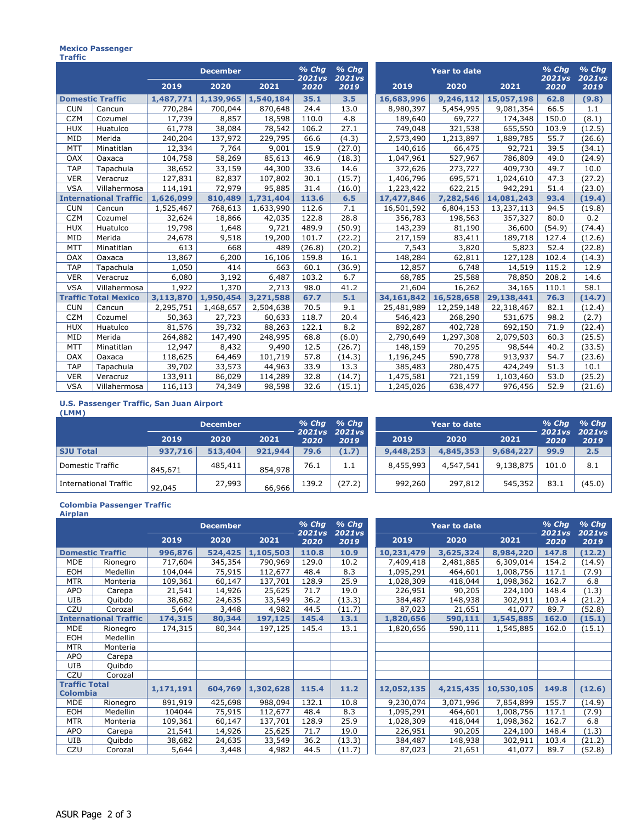#### **Mexico Passenger Traffic**

|                              |                             |           |           | $%$ Chq<br>2021vs | $%$ Chq<br><b>2021vs</b> |        | $%$ Chg<br>2021vs | $%$ Chg<br>2021vs |            |        |        |
|------------------------------|-----------------------------|-----------|-----------|-------------------|--------------------------|--------|-------------------|-------------------|------------|--------|--------|
|                              |                             | 2019      | 2020      | 2021              | 2020                     | 2019   | 2019<br>2020      |                   | 2021       | 2020   | 2019   |
| <b>Domestic Traffic</b>      |                             | 1,487,771 | 1,139,965 | 1,540,184         | 35.1                     | 3.5    | 16,683,996        | 9,246,112         | 15,057,198 | 62.8   | (9.8)  |
| <b>CUN</b>                   | Cancun                      | 770,284   | 700,044   | 870,648           | 24.4                     | 13.0   | 8,980,397         | 5,454,995         | 9,081,354  | 66.5   | 1.1    |
| <b>CZM</b>                   | Cozumel                     | 17,739    | 8,857     | 18,598            | 110.0                    | 4.8    | 189,640           | 69,727            | 174,348    | 150.0  | (8.1)  |
| <b>HUX</b>                   | Huatulco                    | 61,778    | 38,084    | 78,542            | 106.2                    | 27.1   | 749,048           | 321,538           | 655,550    | 103.9  | (12.5) |
| MID                          | Merida                      | 240,204   | 137,972   | 229,795           | 66.6                     | (4.3)  | 2,573,490         | 1,213,897         | 1,889,785  | 55.7   | (26.6) |
| <b>MTT</b>                   | Minatitlan                  | 12,334    | 7,764     | 9,001             | 15.9                     | (27.0) | 140,616           | 66,475            | 92,721     | 39.5   | (34.1) |
| OAX                          | Oaxaca                      | 104,758   | 58,269    | 85,613            | 46.9                     | (18.3) | 1,047,961         | 527,967           | 786,809    | 49.0   | (24.9) |
| <b>TAP</b>                   | Tapachula                   | 38,652    | 33,159    | 44,300            | 33.6                     | 14.6   | 372,626           | 273,727           | 409,730    | 49.7   | 10.0   |
| <b>VER</b>                   | Veracruz                    | 127,831   | 82,837    | 107,802           | 30.1                     | (15.7) | 1,406,796         | 695,571           | 1,024,610  | 47.3   | (27.2) |
| <b>VSA</b>                   | Villahermosa                | 114,191   | 72,979    | 95,885            | 31.4                     | (16.0) | 1,223,422         | 622,215           | 942,291    | 51.4   | (23.0) |
| <b>International Traffic</b> |                             | 1,626,099 | 810,489   | 1,731,404         | 113.6                    | 6.5    | 17,477,846        | 7,282,546         | 14,081,243 | 93.4   | (19.4) |
| <b>CUN</b>                   | Cancun                      | 1,525,467 | 768,613   | 1,633,990         | 112.6                    | 7.1    | 16,501,592        | 6,804,153         | 13,237,113 | 94.5   | (19.8) |
| <b>CZM</b>                   | Cozumel                     | 32,624    | 18,866    | 42,035            | 122.8                    | 28.8   | 356,783           | 198,563           | 357,327    | 80.0   | 0.2    |
| <b>HUX</b>                   | Huatulco                    | 19,798    | 1,648     | 9,721             | 489.9                    | (50.9) | 143,239           | 81,190            | 36,600     | (54.9) | (74.4) |
| MID                          | Merida                      | 24,678    | 9,518     | 19,200            | 101.7                    | (22.2) | 217,159           | 83,411            | 189,718    | 127.4  | (12.6) |
| <b>MTT</b>                   | Minatitlan                  | 613       | 668       | 489               | (26.8)                   | (20.2) | 7,543             | 3,820             | 5,823      | 52.4   | (22.8) |
| OAX                          | Oaxaca                      | 13,867    | 6,200     | 16,106            | 159.8                    | 16.1   | 148,284           | 62,811            | 127,128    | 102.4  | (14.3) |
| <b>TAP</b>                   | Tapachula                   | 1,050     | 414       | 663               | 60.1                     | (36.9) | 12,857            | 6,748             | 14,519     | 115.2  | 12.9   |
| <b>VER</b>                   | Veracruz                    | 6,080     | 3,192     | 6,487             | 103.2                    | 6.7    | 68,785            | 25,588            | 78,850     | 208.2  | 14.6   |
| <b>VSA</b>                   | Villahermosa                | 1,922     | 1,370     | 2,713             | 98.0                     | 41.2   | 21,604            | 16,262            | 34,165     | 110.1  | 58.1   |
|                              | <b>Traffic Total Mexico</b> | 3,113,870 | 1,950,454 | 3,271,588         | 67.7                     | 5.1    | 34,161,842        | 16,528,658        | 29,138,441 | 76.3   | (14.7) |
| <b>CUN</b>                   | Cancun                      | 2,295,751 | 1,468,657 | 2,504,638         | 70.5                     | 9.1    | 25,481,989        | 12,259,148        | 22,318,467 | 82.1   | (12.4) |
| <b>CZM</b>                   | Cozumel                     | 50,363    | 27,723    | 60,633            | 118.7                    | 20.4   | 546,423           | 268,290           | 531,675    | 98.2   | (2.7)  |
| <b>HUX</b>                   | Huatulco                    | 81,576    | 39,732    | 88,263            | 122.1                    | 8.2    | 892,287           | 402,728           | 692,150    | 71.9   | (22.4) |
| MID                          | Merida                      | 264,882   | 147,490   | 248,995           | 68.8                     | (6.0)  | 2,790,649         | 1,297,308         | 2,079,503  | 60.3   | (25.5) |
| <b>MTT</b>                   | Minatitlan                  | 12,947    | 8,432     | 9,490             | 12.5                     | (26.7) | 148,159           | 70,295            | 98,544     | 40.2   | (33.5) |
| OAX                          | Oaxaca                      | 118,625   | 64,469    | 101,719           | 57.8                     | (14.3) | 1,196,245         | 590,778           | 913,937    | 54.7   | (23.6) |
| <b>TAP</b>                   | Tapachula                   | 39,702    | 33,573    | 44,963            | 33.9                     | 13.3   | 385,483           | 280,475           | 424,249    | 51.3   | 10.1   |
| <b>VER</b>                   | Veracruz                    | 133,911   | 86,029    | 114,289           | 32.8                     | (14.7) | 1,475,581         | 721,159           | 1,103,460  | 53.0   | (25.2) |
| <b>VSA</b>                   | Villahermosa                | 116,113   | 74,349    | 98,598            | 32.6                     | (15.1) | 1,245,026         | 638,477           | 976,456    | 52.9   | (21.6) |

#### **U.S. Passenger Traffic, San Juan Airport (LMM)**

|                       | <b>December</b> |         |         | $%$ Chq<br>$%$ Chq<br>2021 vs 2021 vs |        |           | $%$ Chq<br>2021vs | $%$ Chq<br><b>2021vs</b> |       |        |
|-----------------------|-----------------|---------|---------|---------------------------------------|--------|-----------|-------------------|--------------------------|-------|--------|
|                       | 2019            | 2020    | 2021    | 2020                                  | 2019   | 2019      | 2020              | 2021                     | 2020  | 2019   |
| <b>SJU Total</b>      | 937,716         | 513,404 | 921,944 | 79.6                                  | (1.7)  | 9,448,253 | 4,845,353         | 9,684,227                | 99.9  | 2.5    |
| Domestic Traffic      | 845,671         | 485,411 | 854,978 | 76.1                                  | 1.1    | 8,455,993 | 4,547,541         | 9,138,875                | 101.0 | 8.1    |
| International Traffic | 92,045          | 27,993  | 66,966  | 139.2                                 | (27.2) | 992,260   | 297,812           | 545,352                  | 83.1  | (45.0) |

#### **Colombia Passenger Traffic**

| Airplan                                 |                 |                 |         |           |                   |                          |                     |                          |                          |       |        |
|-----------------------------------------|-----------------|-----------------|---------|-----------|-------------------|--------------------------|---------------------|--------------------------|--------------------------|-------|--------|
|                                         |                 | <b>December</b> |         |           | $%$ Chg<br>2021vs | $%$ Chg<br><b>2021vs</b> | <b>Year to date</b> | $%$ Chg<br><b>2021vs</b> | $%$ Chg<br><b>2021vs</b> |       |        |
|                                         |                 | 2019            | 2020    | 2021      | 2020              | 2019                     | 2019                | 2020                     | 2021                     | 2020  | 2019   |
| <b>Domestic Traffic</b>                 |                 | 996,876         | 524,425 | 1,105,503 | 110.8             | 10.9                     | 10,231,479          | 3,625,324                | 8,984,220                | 147.8 | (12.2) |
| <b>MDE</b>                              | Rionegro        | 717,604         | 345,354 | 790,969   | 129.0             | 10.2                     | 7,409,418           | 2,481,885                | 6,309,014                | 154.2 | (14.9) |
| EOH                                     | <b>Medellin</b> | 104,044         | 75,915  | 112,677   | 48.4              | 8.3                      | 1,095,291           | 464,601                  | 1,008,756                | 117.1 | (7.9)  |
| <b>MTR</b>                              | Monteria        | 109,361         | 60,147  | 137,701   | 128.9             | 25.9                     | 1,028,309           | 418,044                  | 1,098,362                | 162.7 | 6.8    |
| APO                                     | Carepa          | 21,541          | 14,926  | 25,625    | 71.7              | 19.0                     | 226,951             | 90,205                   | 224,100                  | 148.4 | (1.3)  |
| <b>UIB</b>                              | Quibdo          | 38,682          | 24,635  | 33,549    | 36.2              | (13.3)                   | 384,487             | 148,938                  | 302,911                  | 103.4 | (21.2) |
| CZU                                     | Corozal         | 5,644           | 3,448   | 4,982     | 44.5              | (11.7)                   | 87,023              | 21,651                   | 41,077                   | 89.7  | (52.8) |
| <b>International Traffic</b>            |                 | 174,315         | 80,344  | 197,125   | 145.4             | 13.1                     | 1,820,656           | 590,111                  | 1,545,885                | 162.0 | (15.1) |
| <b>MDE</b>                              | Rionegro        | 174,315         | 80,344  | 197,125   | 145.4             | 13.1                     | 1,820,656           | 590,111                  | 1,545,885                | 162.0 | (15.1) |
| <b>EOH</b>                              | Medellin        |                 |         |           |                   |                          |                     |                          |                          |       |        |
| <b>MTR</b>                              | Monteria        |                 |         |           |                   |                          |                     |                          |                          |       |        |
| APO                                     | Carepa          |                 |         |           |                   |                          |                     |                          |                          |       |        |
| UIB                                     | Quibdo          |                 |         |           |                   |                          |                     |                          |                          |       |        |
| CZU                                     | Corozal         |                 |         |           |                   |                          |                     |                          |                          |       |        |
| <b>Traffic Total</b><br><b>Colombia</b> |                 | 1,171,191       | 604,769 | 1,302,628 | 115.4             | 11.2                     | 12,052,135          | 4,215,435                | 10,530,105               | 149.8 | (12.6) |
| <b>MDE</b>                              | Rionegro        | 891,919         | 425,698 | 988,094   | 132.1             | 10.8                     | 9,230,074           | 3,071,996                | 7,854,899                | 155.7 | (14.9) |
| EOH                                     | Medellin        | 104044          | 75,915  | 112,677   | 48.4              | 8.3                      | 1,095,291           | 464,601                  | 1,008,756                | 117.1 | (7.9)  |
| <b>MTR</b>                              | Monteria        | 109,361         | 60,147  | 137,701   | 128.9             | 25.9                     | 1,028,309           | 418,044                  | 1,098,362                | 162.7 | 6.8    |
| <b>APO</b>                              | Carepa          | 21,541          | 14,926  | 25,625    | 71.7              | 19.0                     | 226,951             | 90,205                   | 224,100                  | 148.4 | (1.3)  |
| <b>UIB</b>                              | Quibdo          | 38,682          | 24,635  | 33,549    | 36.2              | (13.3)                   | 384,487             | 148,938                  | 302,911                  | 103.4 | (21.2) |
| CZU                                     | Corozal         | 5,644           | 3,448   | 4,982     | 44.5              | (11.7)                   | 87,023              | 21,651                   | 41,077                   | 89.7  | (52.8) |